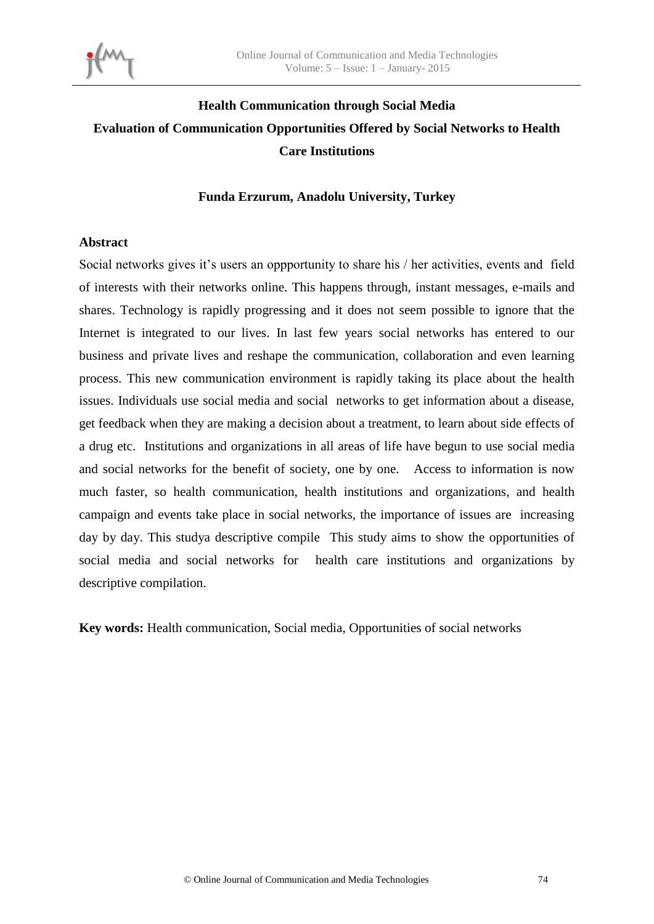

# **Health Communication through Social Media Evaluation of Communication Opportunities Offered by Social Networks to Health Care Institutions**

#### **Funda Erzurum, Anadolu University, Turkey**

#### **Abstract**

Social networks gives it's users an oppportunity to share his / her activities, events and field of interests with their networks online. This happens through, instant messages, e-mails and shares. Technology is rapidly progressing and it does not seem possible to ignore that the Internet is integrated to our lives. In last few years social networks has entered to our business and private lives and reshape the communication, collaboration and even learning process. This new communication environment is rapidly taking its place about the health issues. Individuals use social media and social networks to get information about a disease, get feedback when they are making a decision about a treatment, to learn about side effects of a drug etc. Institutions and organizations in all areas of life have begun to use social media and social networks for the benefit of society, one by one. Access to information is now much faster, so health communication, health institutions and organizations, and health campaign and events take place in social networks, the importance of issues are increasing day by day. This studya descriptive compile This study aims to show the opportunities of social media and social networks for health care institutions and organizations by descriptive compilation.

**Key words:** Health communication, Social media, Opportunities of social networks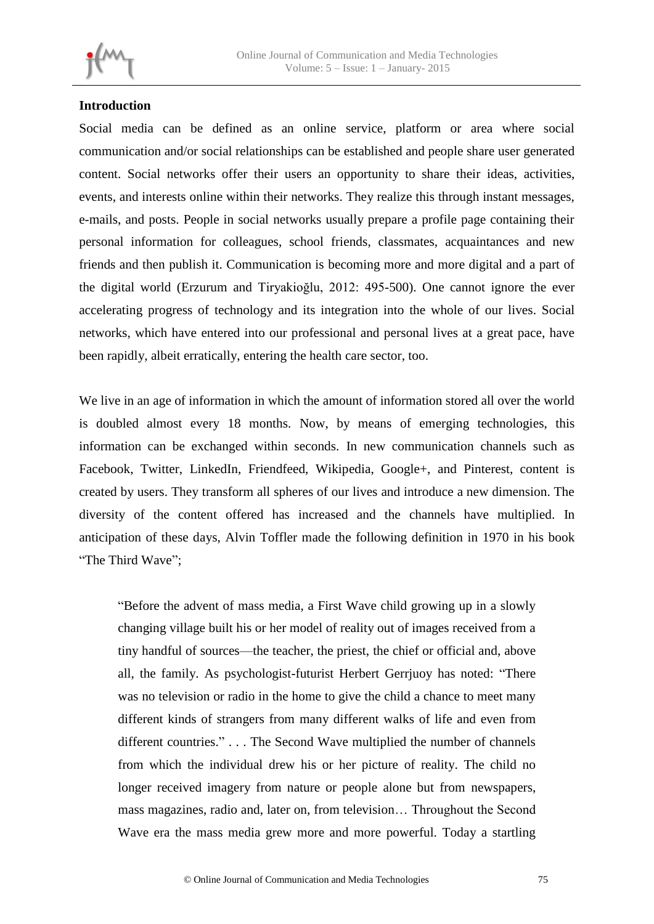

# **Introduction**

Social media can be defined as an online service, platform or area where social communication and/or social relationships can be established and people share user generated content. Social networks offer their users an opportunity to share their ideas, activities, events, and interests online within their networks. They realize this through instant messages, e-mails, and posts. People in social networks usually prepare a profile page containing their personal information for colleagues, school friends, classmates, acquaintances and new friends and then publish it. Communication is becoming more and more digital and a part of the digital world (Erzurum and Tiryakioğlu, 2012: 495-500). One cannot ignore the ever accelerating progress of technology and its integration into the whole of our lives. Social networks, which have entered into our professional and personal lives at a great pace, have been rapidly, albeit erratically, entering the health care sector, too.

We live in an age of information in which the amount of information stored all over the world is doubled almost every 18 months. Now, by means of emerging technologies, this information can be exchanged within seconds. In new communication channels such as Facebook, Twitter, LinkedIn, Friendfeed, Wikipedia, Google+, and Pinterest, content is created by users. They transform all spheres of our lives and introduce a new dimension. The diversity of the content offered has increased and the channels have multiplied. In anticipation of these days, Alvin Toffler made the following definition in 1970 in his book "The Third Wave";

"Before the advent of mass media, a First Wave child growing up in a slowly changing village built his or her model of reality out of images received from a tiny handful of sources—the teacher, the priest, the chief or official and, above all, the family. As psychologist-futurist Herbert Gerrjuoy has noted: "There was no television or radio in the home to give the child a chance to meet many different kinds of strangers from many different walks of life and even from different countries." . . . The Second Wave multiplied the number of channels from which the individual drew his or her picture of reality. The child no longer received imagery from nature or people alone but from newspapers, mass magazines, radio and, later on, from television… Throughout the Second Wave era the mass media grew more and more powerful. Today a startling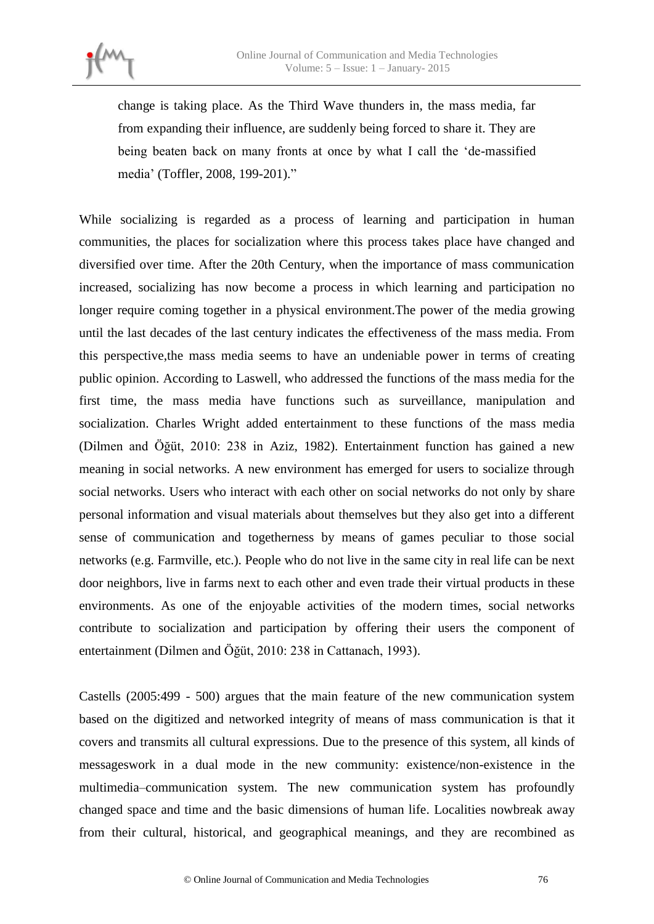

change is taking place. As the Third Wave thunders in, the mass media, far from expanding their influence, are suddenly being forced to share it. They are being beaten back on many fronts at once by what I call the 'de-massified media' (Toffler, 2008, 199-201)."

While socializing is regarded as a process of learning and participation in human communities, the places for socialization where this process takes place have changed and diversified over time. After the 20th Century, when the importance of mass communication increased, socializing has now become a process in which learning and participation no longer require coming together in a physical environment.The power of the media growing until the last decades of the last century indicates the effectiveness of the mass media. From this perspective,the mass media seems to have an undeniable power in terms of creating public opinion. According to Laswell, who addressed the functions of the mass media for the first time, the mass media have functions such as surveillance, manipulation and socialization. Charles Wright added entertainment to these functions of the mass media (Dilmen and Öğüt, 2010: 238 in Aziz, 1982). Entertainment function has gained a new meaning in social networks. A new environment has emerged for users to socialize through social networks. Users who interact with each other on social networks do not only by share personal information and visual materials about themselves but they also get into a different sense of communication and togetherness by means of games peculiar to those social networks (e.g. Farmville, etc.). People who do not live in the same city in real life can be next door neighbors, live in farms next to each other and even trade their virtual products in these environments. As one of the enjoyable activities of the modern times, social networks contribute to socialization and participation by offering their users the component of entertainment (Dilmen and Öğüt, 2010: 238 in Cattanach, 1993).

Castells (2005:499 - 500) argues that the main feature of the new communication system based on the digitized and networked integrity of means of mass communication is that it covers and transmits all cultural expressions. Due to the presence of this system, all kinds of messageswork in a dual mode in the new community: existence/non-existence in the multimedia–communication system. The new communication system has profoundly changed space and time and the basic dimensions of human life. Localities nowbreak away from their cultural, historical, and geographical meanings, and they are recombined as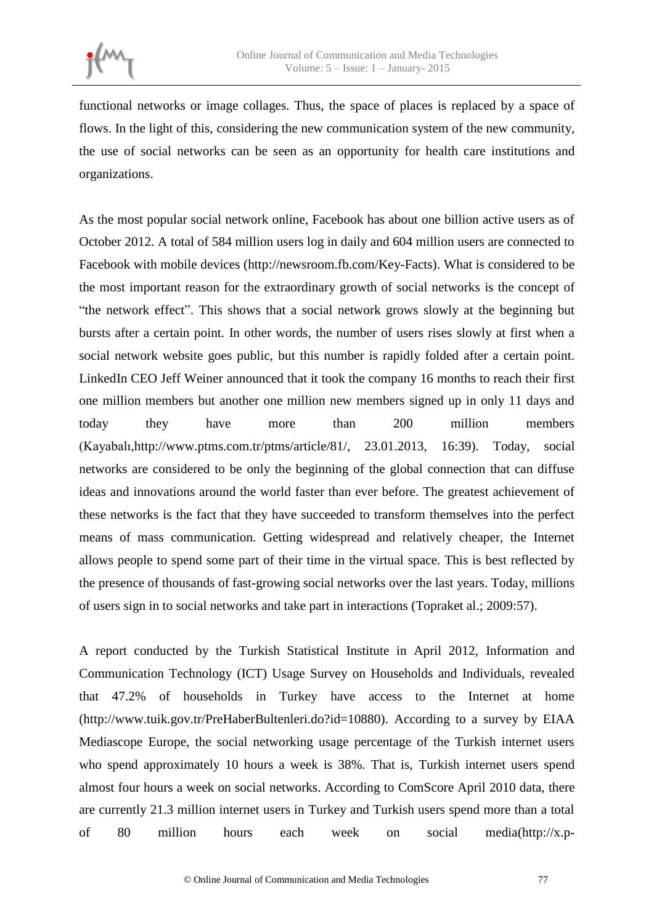functional networks or image collages. Thus, the space of places is replaced by a space of flows. In the light of this, considering the new communication system of the new community, the use of social networks can be seen as an opportunity for health care institutions and organizations.

As the most popular social network online, Facebook has about one billion active users as of October 2012. A total of 584 million users log in daily and 604 million users are connected to Facebook with mobile devices (http://newsroom.fb.com/Key-Facts). What is considered to be the most important reason for the extraordinary growth of social networks is the concept of "the network effect". This shows that a social network grows slowly at the beginning but bursts after a certain point. In other words, the number of users rises slowly at first when a social network website goes public, but this number is rapidly folded after a certain point. LinkedIn CEO Jeff Weiner announced that it took the company 16 months to reach their first one million members but another one million new members signed up in only 11 days and today they have more than 200 million members (Kayabalı,http://www.ptms.com.tr/ptms/article/81/, 23.01.2013, 16:39). Today, social networks are considered to be only the beginning of the global connection that can diffuse ideas and innovations around the world faster than ever before. The greatest achievement of these networks is the fact that they have succeeded to transform themselves into the perfect means of mass communication. Getting widespread and relatively cheaper, the Internet allows people to spend some part of their time in the virtual space. This is best reflected by the presence of thousands of fast-growing social networks over the last years. Today, millions of users sign in to social networks and take part in interactions (Topraket al.; 2009:57).

A report conducted by the Turkish Statistical Institute in April 2012, Information and Communication Technology (ICT) Usage Survey on Households and Individuals, revealed that 47.2% of households in Turkey have access to the Internet at home (http://www.tuik.gov.tr/PreHaberBultenleri.do?id=10880). According to a survey by EIAA Mediascope Europe, the social networking usage percentage of the Turkish internet users who spend approximately 10 hours a week is 38%. That is, Turkish internet users spend almost four hours a week on social networks. According to ComScore April 2010 data, there are currently 21.3 million internet users in Turkey and Turkish users spend more than a total of 80 million hours each week on social media[\(http://x.p-](http://x.p-tms.com/cms/front_content.php?idcat=285)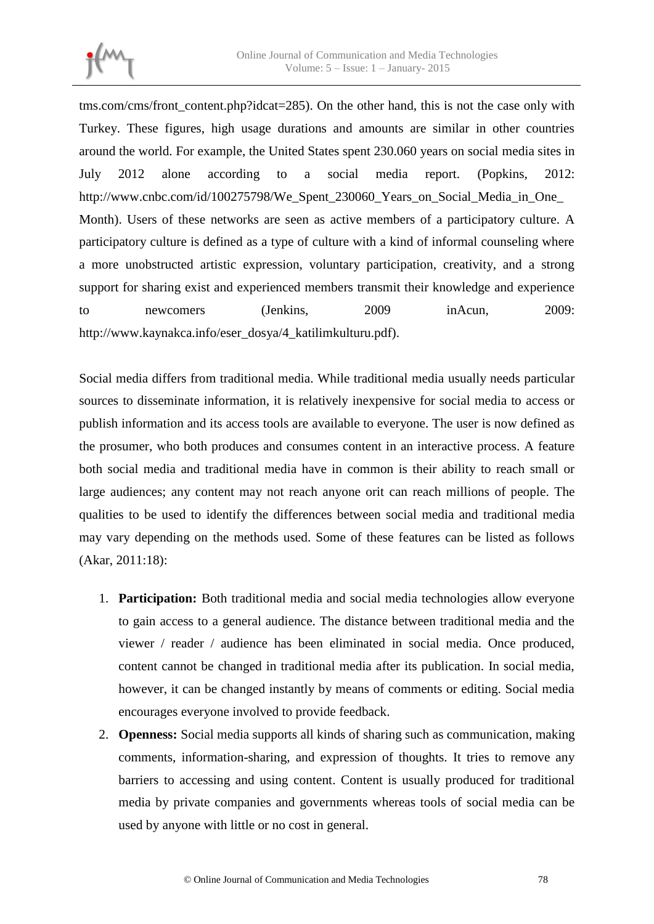

[tms.com/cms/front\\_content.php?idcat=285\)](http://x.p-tms.com/cms/front_content.php?idcat=285). On the other hand, this is not the case only with Turkey. These figures, high usage durations and amounts are similar in other countries around the world. For example, the United States spent 230.060 years on social media sites in July 2012 alone according to a social media report. (Popkins, 2012: [http://www.cnbc.com/id/100275798/We\\_Spent\\_230060\\_Years\\_on\\_Social\\_Media\\_in\\_One\\_](http://www.cnbc.com/id/100275798/We_Spent_230060_Years_on_Social_Media_in_One_Month) [Month\)](http://www.cnbc.com/id/100275798/We_Spent_230060_Years_on_Social_Media_in_One_Month). Users of these networks are seen as active members of a participatory culture. A participatory culture is defined as a type of culture with a kind of informal counseling where a more unobstructed artistic expression, voluntary participation, creativity, and a strong support for sharing exist and experienced members transmit their knowledge and experience to newcomers (Jenkins, 2009 inAcun, 2009: http://www.kaynakca.info/eser\_dosya/4\_katilimkulturu.pdf).

Social media differs from traditional media. While traditional media usually needs particular sources to disseminate information, it is relatively inexpensive for social media to access or publish information and its access tools are available to everyone. The user is now defined as the prosumer, who both produces and consumes content in an interactive process. A feature both social media and traditional media have in common is their ability to reach small or large audiences; any content may not reach anyone orit can reach millions of people. The qualities to be used to identify the differences between social media and traditional media may vary depending on the methods used. Some of these features can be listed as follows (Akar, 2011:18):

- 1. **Participation:** Both traditional media and social media technologies allow everyone to gain access to a general audience. The distance between traditional media and the viewer / reader / audience has been eliminated in social media. Once produced, content cannot be changed in traditional media after its publication. In social media, however, it can be changed instantly by means of comments or editing. Social media encourages everyone involved to provide feedback.
- 2. **Openness:** Social media supports all kinds of sharing such as communication, making comments, information-sharing, and expression of thoughts. It tries to remove any barriers to accessing and using content. Content is usually produced for traditional media by private companies and governments whereas tools of social media can be used by anyone with little or no cost in general.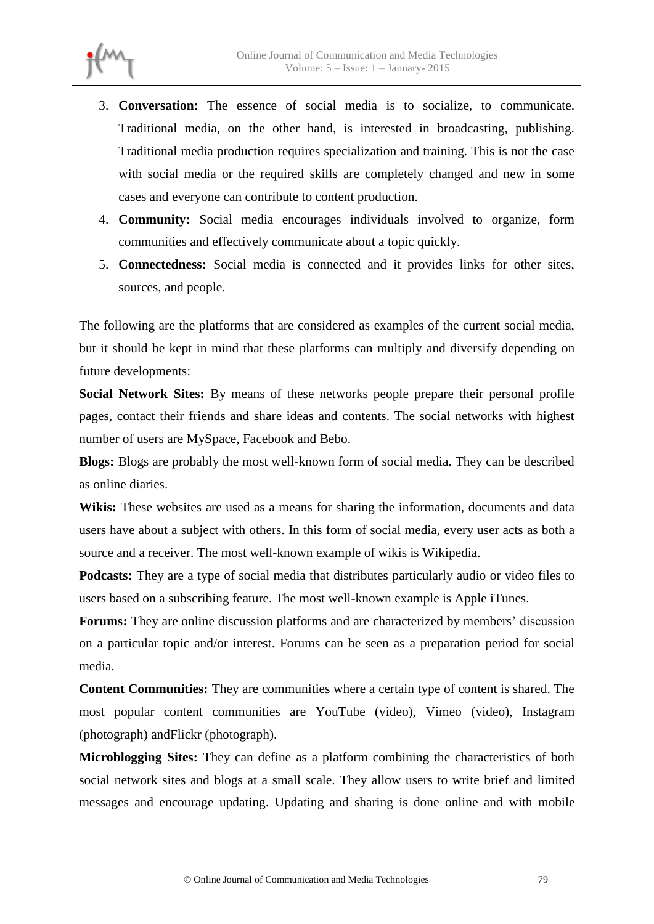

- 3. **Conversation:** The essence of social media is to socialize, to communicate. Traditional media, on the other hand, is interested in broadcasting, publishing. Traditional media production requires specialization and training. This is not the case with social media or the required skills are completely changed and new in some cases and everyone can contribute to content production.
- 4. **Community:** Social media encourages individuals involved to organize, form communities and effectively communicate about a topic quickly.
- 5. **Connectedness:** Social media is connected and it provides links for other sites, sources, and people.

The following are the platforms that are considered as examples of the current social media, but it should be kept in mind that these platforms can multiply and diversify depending on future developments:

**Social Network Sites:** By means of these networks people prepare their personal profile pages, contact their friends and share ideas and contents. The social networks with highest number of users are MySpace, Facebook and Bebo.

**Blogs:** Blogs are probably the most well-known form of social media. They can be described as online diaries.

Wikis: These websites are used as a means for sharing the information, documents and data users have about a subject with others. In this form of social media, every user acts as both a source and a receiver. The most well-known example of wikis is Wikipedia.

**Podcasts:** They are a type of social media that distributes particularly audio or video files to users based on a subscribing feature. The most well-known example is Apple iTunes.

**Forums:** They are online discussion platforms and are characterized by members' discussion on a particular topic and/or interest. Forums can be seen as a preparation period for social media.

**Content Communities:** They are communities where a certain type of content is shared. The most popular content communities are YouTube (video), Vimeo (video), Instagram (photograph) andFlickr (photograph).

**Microblogging Sites:** They can define as a platform combining the characteristics of both social network sites and blogs at a small scale. They allow users to write brief and limited messages and encourage updating. Updating and sharing is done online and with mobile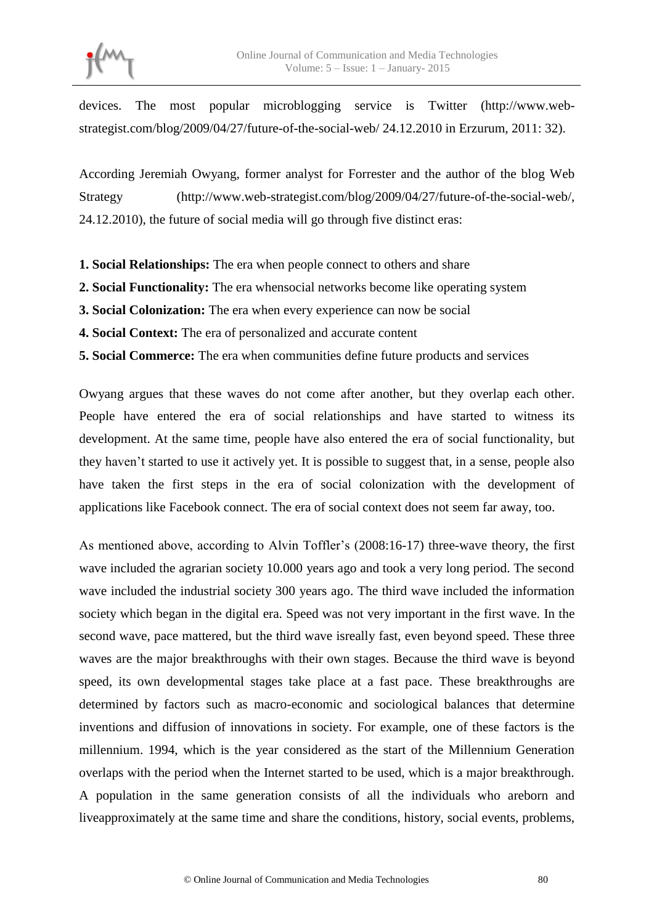

devices. The most popular microblogging service is Twitter [\(http://www.web](http://www.web-strategist.com/blog/2009/04/27/future-of-the-social-web/)[strategist.com/blog/2009/04/27/future-of-the-social-web/](http://www.web-strategist.com/blog/2009/04/27/future-of-the-social-web/) 24.12.2010 in Erzurum, 2011: 32).

According Jeremiah Owyang, former analyst for Forrester and the author of the blog Web Strategy [\(http://www.web-strategist.com/blog/2009/04/27/future-of-the-social-web/,](http://www.web-strategist.com/blog/2009/04/27/future-of-the-social-web/) 24.12.2010), the future of social media will go through five distinct eras:

- **1. Social Relationships:** The era when people connect to others and share
- **2. Social Functionality:** The era whensocial networks become like operating system
- **3. Social Colonization:** The era when every experience can now be social
- **4. Social Context:** The era of personalized and accurate content
- **5. Social Commerce:** The era when communities define future products and services

Owyang argues that these waves do not come after another, but they overlap each other. People have entered the era of social relationships and have started to witness its development. At the same time, people have also entered the era of social functionality, but they haven't started to use it actively yet. It is possible to suggest that, in a sense, people also have taken the first steps in the era of social colonization with the development of applications like Facebook connect. The era of social context does not seem far away, too.

As mentioned above, according to Alvin Toffler's (2008:16-17) three-wave theory, the first wave included the agrarian society 10.000 years ago and took a very long period. The second wave included the industrial society 300 years ago. The third wave included the information society which began in the digital era. Speed was not very important in the first wave. In the second wave, pace mattered, but the third wave isreally fast, even beyond speed. These three waves are the major breakthroughs with their own stages. Because the third wave is beyond speed, its own developmental stages take place at a fast pace. These breakthroughs are determined by factors such as macro-economic and sociological balances that determine inventions and diffusion of innovations in society. For example, one of these factors is the millennium. 1994, which is the year considered as the start of the Millennium Generation overlaps with the period when the Internet started to be used, which is a major breakthrough. A population in the same generation consists of all the individuals who areborn and liveapproximately at the same time and share the conditions, history, social events, problems,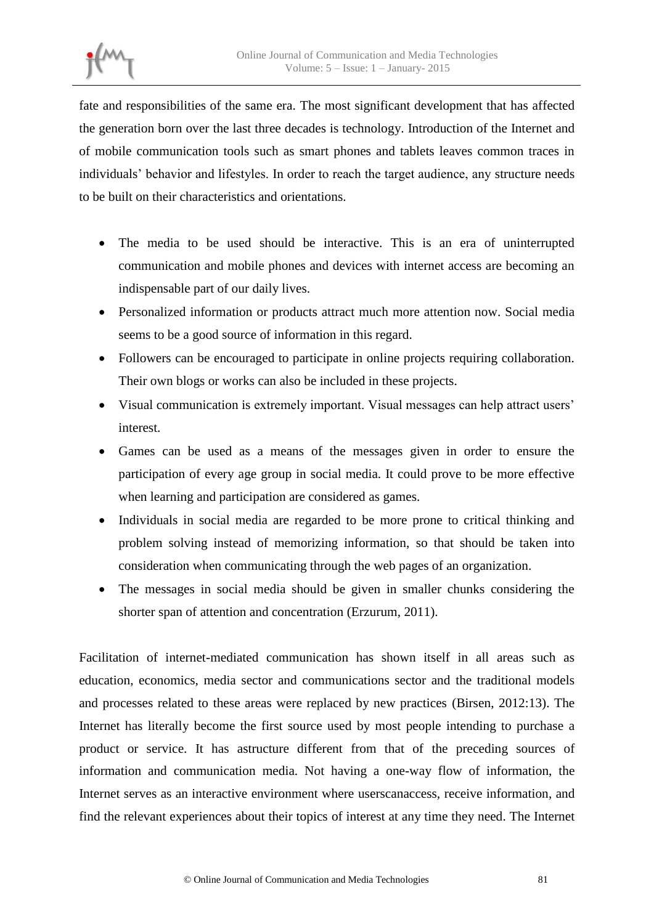

fate and responsibilities of the same era. The most significant development that has affected the generation born over the last three decades is technology. Introduction of the Internet and of mobile communication tools such as smart phones and tablets leaves common traces in individuals' behavior and lifestyles. In order to reach the target audience, any structure needs to be built on their characteristics and orientations.

- The media to be used should be interactive. This is an era of uninterrupted communication and mobile phones and devices with internet access are becoming an indispensable part of our daily lives.
- Personalized information or products attract much more attention now. Social media seems to be a good source of information in this regard.
- Followers can be encouraged to participate in online projects requiring collaboration. Their own blogs or works can also be included in these projects.
- Visual communication is extremely important. Visual messages can help attract users' interest.
- Games can be used as a means of the messages given in order to ensure the participation of every age group in social media. It could prove to be more effective when learning and participation are considered as games.
- Individuals in social media are regarded to be more prone to critical thinking and problem solving instead of memorizing information, so that should be taken into consideration when communicating through the web pages of an organization.
- The messages in social media should be given in smaller chunks considering the shorter span of attention and concentration (Erzurum, 2011).

Facilitation of internet-mediated communication has shown itself in all areas such as education, economics, media sector and communications sector and the traditional models and processes related to these areas were replaced by new practices (Birsen, 2012:13). The Internet has literally become the first source used by most people intending to purchase a product or service. It has astructure different from that of the preceding sources of information and communication media. Not having a one-way flow of information, the Internet serves as an interactive environment where userscanaccess, receive information, and find the relevant experiences about their topics of interest at any time they need. The Internet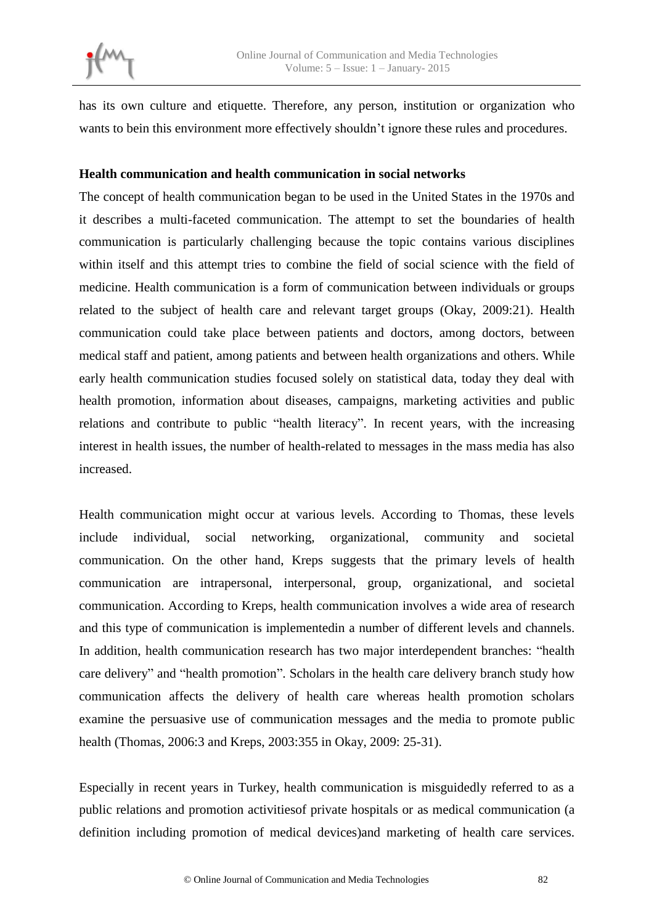has its own culture and etiquette. Therefore, any person, institution or organization who wants to bein this environment more effectively shouldn't ignore these rules and procedures.

# **Health communication and health communication in social networks**

The concept of health communication began to be used in the United States in the 1970s and it describes a multi-faceted communication. The attempt to set the boundaries of health communication is particularly challenging because the topic contains various disciplines within itself and this attempt tries to combine the field of social science with the field of medicine. Health communication is a form of communication between individuals or groups related to the subject of health care and relevant target groups (Okay, 2009:21). Health communication could take place between patients and doctors, among doctors, between medical staff and patient, among patients and between health organizations and others. While early health communication studies focused solely on statistical data, today they deal with health promotion, information about diseases, campaigns, marketing activities and public relations and contribute to public "health literacy". In recent years, with the increasing interest in health issues, the number of health-related to messages in the mass media has also increased.

Health communication might occur at various levels. According to Thomas, these levels include individual, social networking, organizational, community and societal communication. On the other hand, Kreps suggests that the primary levels of health communication are intrapersonal, interpersonal, group, organizational, and societal communication. According to Kreps, health communication involves a wide area of research and this type of communication is implementedin a number of different levels and channels. In addition, health communication research has two major interdependent branches: "health care delivery" and "health promotion". Scholars in the health care delivery branch study how communication affects the delivery of health care whereas health promotion scholars examine the persuasive use of communication messages and the media to promote public health (Thomas, 2006:3 and Kreps, 2003:355 in Okay, 2009: 25-31).

Especially in recent years in Turkey, health communication is misguidedly referred to as a public relations and promotion activitiesof private hospitals or as medical communication (a definition including promotion of medical devices)and marketing of health care services.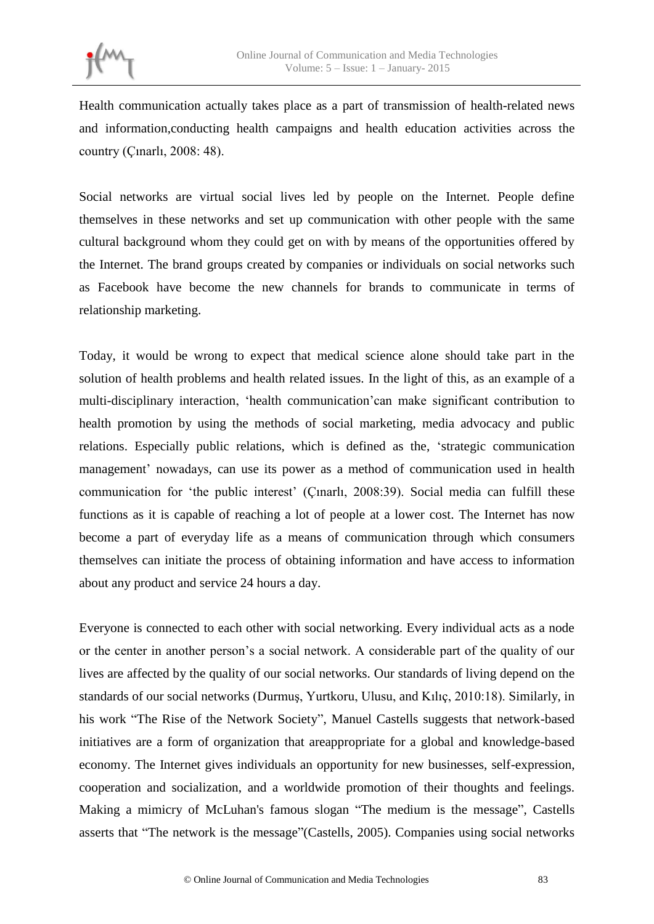Health communication actually takes place as a part of transmission of health-related news and information,conducting health campaigns and health education activities across the country (Çınarlı, 2008: 48).

Social networks are virtual social lives led by people on the Internet. People define themselves in these networks and set up communication with other people with the same cultural background whom they could get on with by means of the opportunities offered by the Internet. The brand groups created by companies or individuals on social networks such as Facebook have become the new channels for brands to communicate in terms of relationship marketing.

Today, it would be wrong to expect that medical science alone should take part in the solution of health problems and health related issues. In the light of this, as an example of a multi-disciplinary interaction, 'health communication'can make significant contribution to health promotion by using the methods of social marketing, media advocacy and public relations. Especially public relations, which is defined as the, 'strategic communication management' nowadays, can use its power as a method of communication used in health communication for 'the public interest' (Çınarlı, 2008:39). Social media can fulfill these functions as it is capable of reaching a lot of people at a lower cost. The Internet has now become a part of everyday life as a means of communication through which consumers themselves can initiate the process of obtaining information and have access to information about any product and service 24 hours a day.

Everyone is connected to each other with social networking. Every individual acts as a node or the center in another person's a social network. A considerable part of the quality of our lives are affected by the quality of our social networks. Our standards of living depend on the standards of our social networks (Durmuş, Yurtkoru, Ulusu, and Kılıç, 2010:18). Similarly, in his work "The Rise of the Network Society", Manuel Castells suggests that network-based initiatives are a form of organization that areappropriate for a global and knowledge-based economy. The Internet gives individuals an opportunity for new businesses, self-expression, cooperation and socialization, and a worldwide promotion of their thoughts and feelings. Making a mimicry of McLuhan's famous slogan "The medium is the message", Castells asserts that "The network is the message"(Castells, 2005). Companies using social networks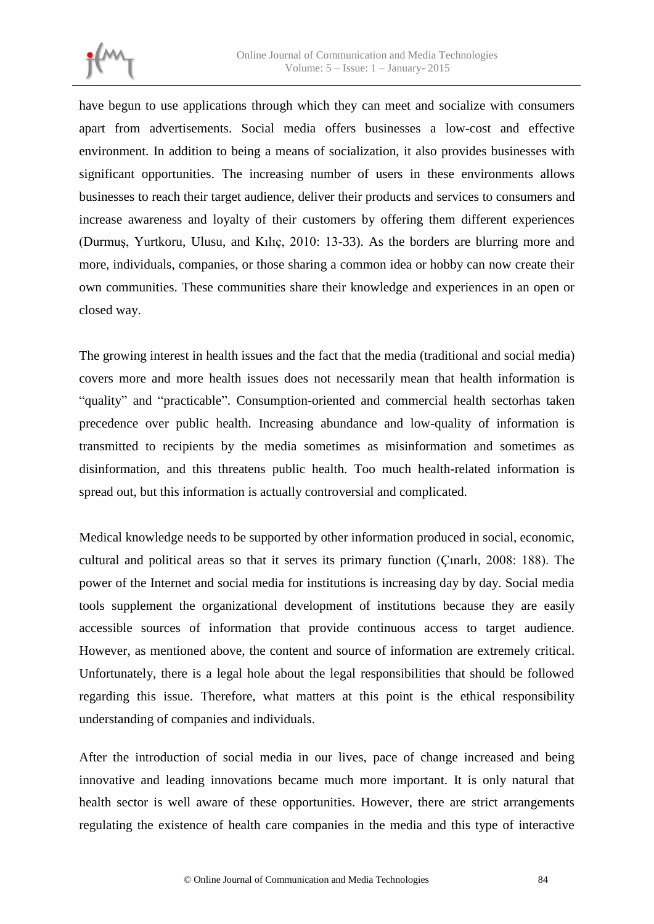

have begun to use applications through which they can meet and socialize with consumers apart from advertisements. Social media offers businesses a low-cost and effective environment. In addition to being a means of socialization, it also provides businesses with significant opportunities. The increasing number of users in these environments allows businesses to reach their target audience, deliver their products and services to consumers and increase awareness and loyalty of their customers by offering them different experiences (Durmuş, Yurtkoru, Ulusu, and Kılıç, 2010: 13-33). As the borders are blurring more and more, individuals, companies, or those sharing a common idea or hobby can now create their own communities. These communities share their knowledge and experiences in an open or closed way.

The growing interest in health issues and the fact that the media (traditional and social media) covers more and more health issues does not necessarily mean that health information is "quality" and "practicable". Consumption-oriented and commercial health sectorhas taken precedence over public health. Increasing abundance and low-quality of information is transmitted to recipients by the media sometimes as misinformation and sometimes as disinformation, and this threatens public health. Too much health-related information is spread out, but this information is actually controversial and complicated.

Medical knowledge needs to be supported by other information produced in social, economic, cultural and political areas so that it serves its primary function (Çınarlı, 2008: 188). The power of the Internet and social media for institutions is increasing day by day. Social media tools supplement the organizational development of institutions because they are easily accessible sources of information that provide continuous access to target audience. However, as mentioned above, the content and source of information are extremely critical. Unfortunately, there is a legal hole about the legal responsibilities that should be followed regarding this issue. Therefore, what matters at this point is the ethical responsibility understanding of companies and individuals.

After the introduction of social media in our lives, pace of change increased and being innovative and leading innovations became much more important. It is only natural that health sector is well aware of these opportunities. However, there are strict arrangements regulating the existence of health care companies in the media and this type of interactive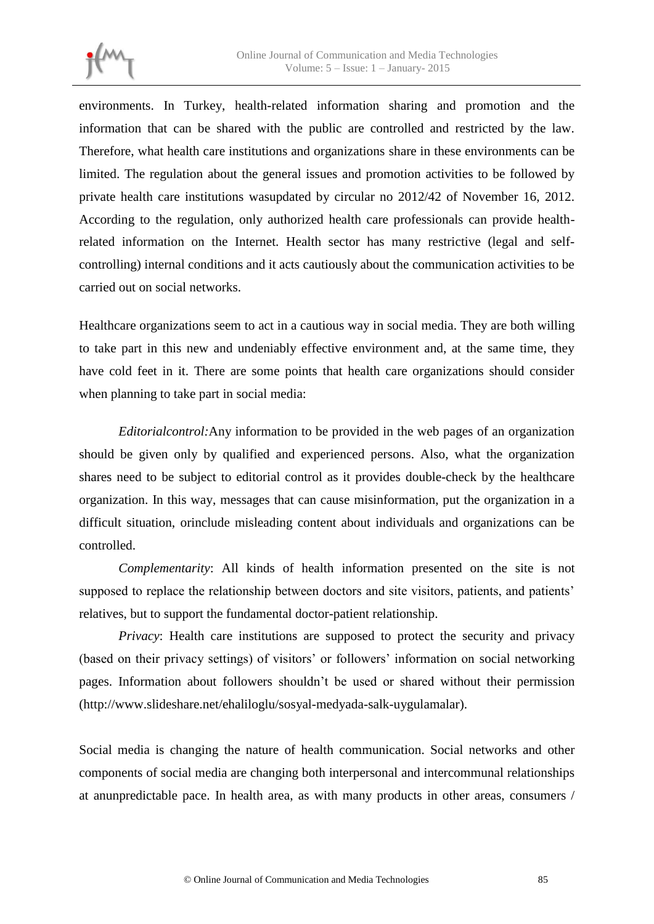

environments. In Turkey, health-related information sharing and promotion and the information that can be shared with the public are controlled and restricted by the law. Therefore, what health care institutions and organizations share in these environments can be limited. The regulation about the general issues and promotion activities to be followed by private health care institutions wasupdated by circular no 2012/42 of November 16, 2012. According to the regulation, only authorized health care professionals can provide healthrelated information on the Internet. Health sector has many restrictive (legal and selfcontrolling) internal conditions and it acts cautiously about the communication activities to be carried out on social networks.

Healthcare organizations seem to act in a cautious way in social media. They are both willing to take part in this new and undeniably effective environment and, at the same time, they have cold feet in it. There are some points that health care organizations should consider when planning to take part in social media:

*Editorialcontrol:*Any information to be provided in the web pages of an organization should be given only by qualified and experienced persons. Also, what the organization shares need to be subject to editorial control as it provides double-check by the healthcare organization. In this way, messages that can cause misinformation, put the organization in a difficult situation, orinclude misleading content about individuals and organizations can be controlled.

*Complementarity*: All kinds of health information presented on the site is not supposed to replace the relationship between doctors and site visitors, patients, and patients' relatives, but to support the fundamental doctor-patient relationship.

*Privacy*: Health care institutions are supposed to protect the security and privacy (based on their privacy settings) of visitors' or followers' information on social networking pages. Information about followers shouldn't be used or shared without their permission (http://www.slideshare.net/ehaliloglu/sosyal-medyada-salk-uygulamalar).

Social media is changing the nature of health communication. Social networks and other components of social media are changing both interpersonal and intercommunal relationships at anunpredictable pace. In health area, as with many products in other areas, consumers /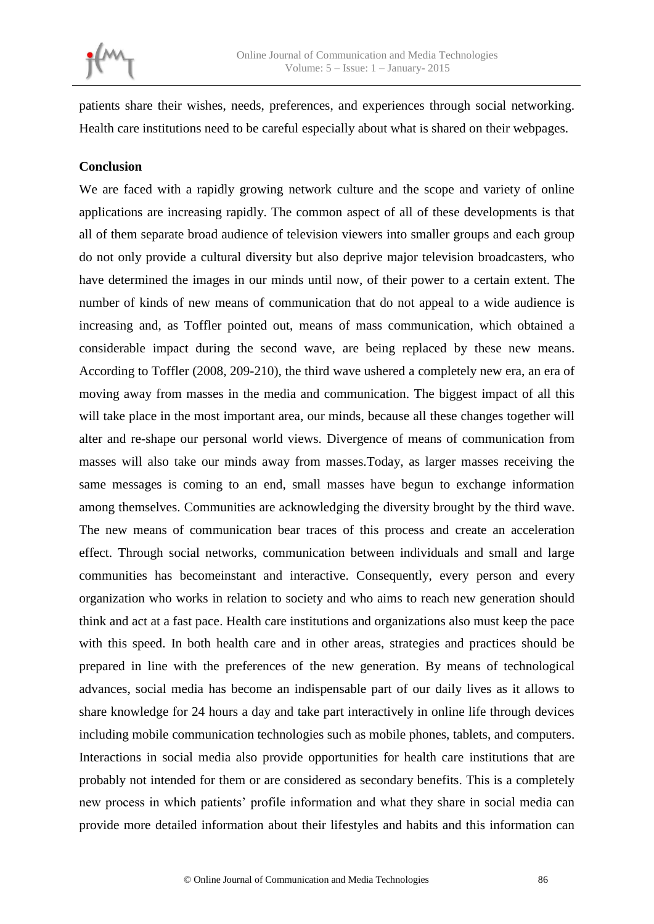

patients share their wishes, needs, preferences, and experiences through social networking. Health care institutions need to be careful especially about what is shared on their webpages.

### **Conclusion**

We are faced with a rapidly growing network culture and the scope and variety of online applications are increasing rapidly. The common aspect of all of these developments is that all of them separate broad audience of television viewers into smaller groups and each group do not only provide a cultural diversity but also deprive major television broadcasters, who have determined the images in our minds until now, of their power to a certain extent. The number of kinds of new means of communication that do not appeal to a wide audience is increasing and, as Toffler pointed out, means of mass communication, which obtained a considerable impact during the second wave, are being replaced by these new means. According to Toffler (2008, 209-210), the third wave ushered a completely new era, an era of moving away from masses in the media and communication. The biggest impact of all this will take place in the most important area, our minds, because all these changes together will alter and re-shape our personal world views. Divergence of means of communication from masses will also take our minds away from masses.Today, as larger masses receiving the same messages is coming to an end, small masses have begun to exchange information among themselves. Communities are acknowledging the diversity brought by the third wave. The new means of communication bear traces of this process and create an acceleration effect. Through social networks, communication between individuals and small and large communities has becomeinstant and interactive. Consequently, every person and every organization who works in relation to society and who aims to reach new generation should think and act at a fast pace. Health care institutions and organizations also must keep the pace with this speed. In both health care and in other areas, strategies and practices should be prepared in line with the preferences of the new generation. By means of technological advances, social media has become an indispensable part of our daily lives as it allows to share knowledge for 24 hours a day and take part interactively in online life through devices including mobile communication technologies such as mobile phones, tablets, and computers. Interactions in social media also provide opportunities for health care institutions that are probably not intended for them or are considered as secondary benefits. This is a completely new process in which patients' profile information and what they share in social media can provide more detailed information about their lifestyles and habits and this information can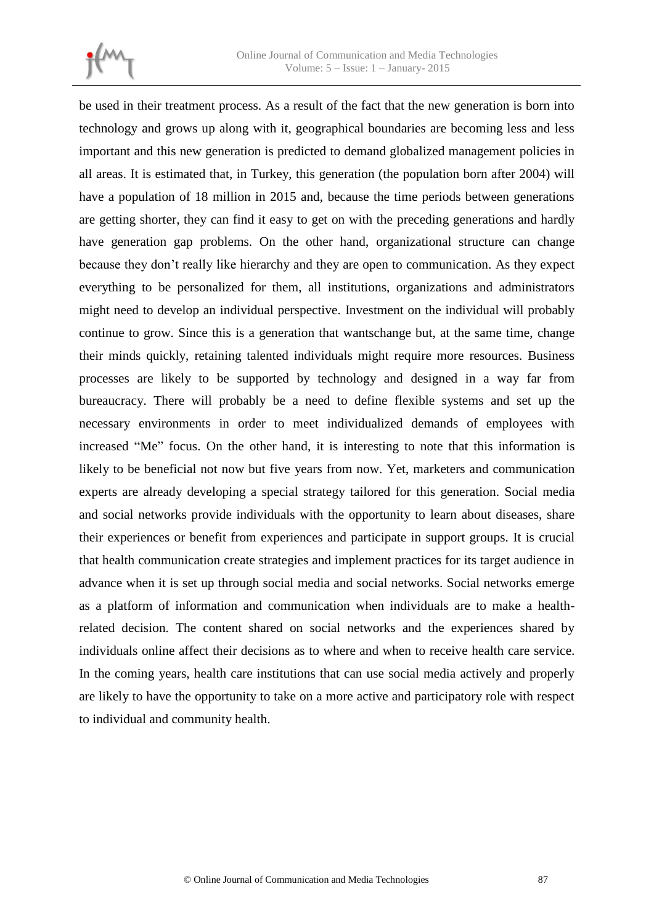

be used in their treatment process. As a result of the fact that the new generation is born into technology and grows up along with it, geographical boundaries are becoming less and less important and this new generation is predicted to demand globalized management policies in all areas. It is estimated that, in Turkey, this generation (the population born after 2004) will have a population of 18 million in 2015 and, because the time periods between generations are getting shorter, they can find it easy to get on with the preceding generations and hardly have generation gap problems. On the other hand, organizational structure can change because they don't really like hierarchy and they are open to communication. As they expect everything to be personalized for them, all institutions, organizations and administrators might need to develop an individual perspective. Investment on the individual will probably continue to grow. Since this is a generation that wantschange but, at the same time, change their minds quickly, retaining talented individuals might require more resources. Business processes are likely to be supported by technology and designed in a way far from bureaucracy. There will probably be a need to define flexible systems and set up the necessary environments in order to meet individualized demands of employees with increased "Me" focus. On the other hand, it is interesting to note that this information is likely to be beneficial not now but five years from now. Yet, marketers and communication experts are already developing a special strategy tailored for this generation. Social media and social networks provide individuals with the opportunity to learn about diseases, share their experiences or benefit from experiences and participate in support groups. It is crucial that health communication create strategies and implement practices for its target audience in advance when it is set up through social media and social networks. Social networks emerge as a platform of information and communication when individuals are to make a healthrelated decision. The content shared on social networks and the experiences shared by individuals online affect their decisions as to where and when to receive health care service. In the coming years, health care institutions that can use social media actively and properly are likely to have the opportunity to take on a more active and participatory role with respect to individual and community health.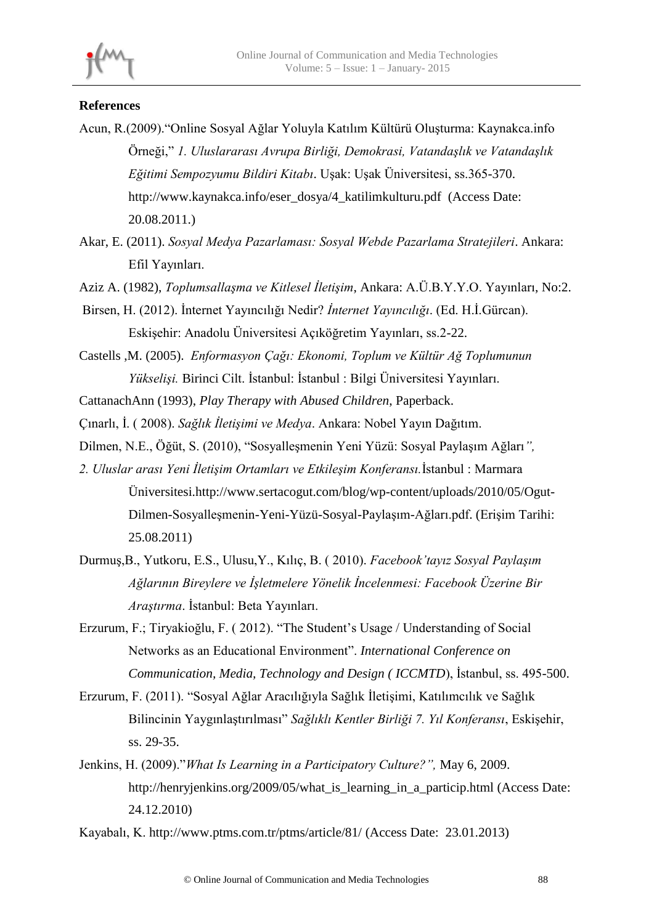

## **References**

- Acun, R.(2009)."Online Sosyal Ağlar Yoluyla Katılım Kültürü Oluşturma: Kaynakca.info Örneği," *1. Uluslararası Avrupa Birliği, Demokrasi, Vatandaşlık ve Vatandaşlık Eğitimi Sempozyumu Bildiri Kitabı*. Uşak: Uşak Üniversitesi, ss.365-370. http://www.kaynakca.info/eser\_dosya/4\_katilimkulturu.pdf (Access Date: 20.08.2011.)
- Akar, E. (2011). *Sosyal Medya Pazarlaması: Sosyal Webde Pazarlama Stratejileri*. Ankara: Efil Yayınları.
- Aziz A. (1982), *Toplumsallaşma ve Kitlesel İletişim*, Ankara: A.Ü.B.Y.Y.O. Yayınları, No:2.
- Birsen, H. (2012). İnternet Yayıncılığı Nedir? *İnternet Yayıncılığı*. (Ed. H.İ.Gürcan). Eskişehir: Anadolu Üniversitesi Açıköğretim Yayınları, ss.2-22.
- Castells ,M. (2005). *Enformasyon Çağı: Ekonomi, Toplum ve Kültür Ağ Toplumunun Yükselişi.* Birinci Cilt. İstanbul: İstanbul : Bilgi Üniversitesi Yayınları.
- CattanachAnn (1993), *Play Therapy with Abused Children*, Paperback.
- Çınarlı, İ. ( 2008). *Sağlık İletişimi ve Medya*. Ankara: Nobel Yayın Dağıtım.
- Dilmen, N.E., Öğüt, S. (2010), "Sosyalleşmenin Yeni Yüzü: Sosyal Paylaşım Ağları*",*
- *2. Uluslar arası Yeni İletişim Ortamları ve Etkileşim Konferansı.*İstanbul : Marmara Üniversitesi.http://www.sertacogut.com/blog/wp-content/uploads/2010/05/Ogut-Dilmen-Sosyalleşmenin-Yeni-Yüzü-Sosyal-Paylaşım-Ağları.pdf. (Erişim Tarihi: 25.08.2011)
- Durmuş,B., Yutkoru, E.S., Ulusu,Y., Kılıç, B. ( 2010). *Facebook'tayız Sosyal Paylaşım Ağlarının Bireylere ve İşletmelere Yönelik İncelenmesi: Facebook Üzerine Bir Araştırma*. İstanbul: Beta Yayınları.
- Erzurum, F.; Tiryakioğlu, F. ( 2012). "The Student's Usage / Understanding of Social Networks as an Educational Environment". *International Conference on Communication, Media, Technology and Design ( ICCMTD*), İstanbul, ss. 495-500.
- Erzurum, F. (2011). "Sosyal Ağlar Aracılığıyla Sağlık İletişimi, Katılımcılık ve Sağlık Bilincinin Yaygınlaştırılması" *Sağlıklı Kentler Birliği 7. Yıl Konferansı*, Eskişehir, ss. 29-35.
- Jenkins, H. (2009)."*What Is Learning in a Participatory Culture?",* May 6, 2009. http://henryjenkins.org/2009/05/what is learning in a particip.html (Access Date: 24.12.2010)

Kayabalı, K. http://www.ptms.com.tr/ptms/article/81/ (Access Date: 23.01.2013)